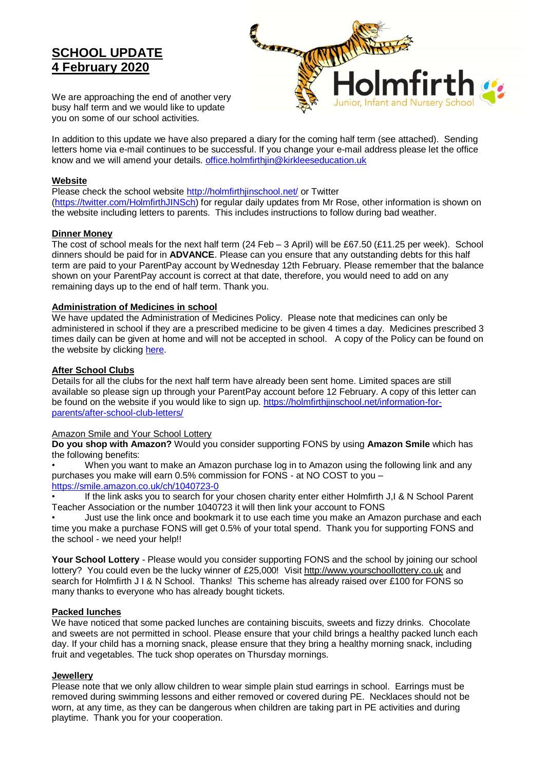# **SCHOOL UPDATE 4 February 2020**



We are approaching the end of another very busy half term and we would like to update you on some of our school activities.

In addition to this update we have also prepared a diary for the coming half term (see attached). Sending letters home via e-mail continues to be successful. If you change your e-mail address please let the office know and we will amend your details. [office.holmfirthjin@kirkleeseducation.uk](mailto:office.holmfirthjin@kirkleeseducation.uk)

## **Website**

Please check the school website<http://holmfirthjinschool.net/> or Twitter

[\(https://twitter.com/HolmfirthJINSch\)](https://twitter.com/HolmfirthJINSch) for regular daily updates from Mr Rose, other information is shown on the website including letters to parents. This includes instructions to follow during bad weather.

## **Dinner Money**

The cost of school meals for the next half term (24 Feb – 3 April) will be £67.50 (£11.25 per week). School dinners should be paid for in **ADVANCE**. Please can you ensure that any outstanding debts for this half term are paid to your ParentPay account by Wednesday 12th February. Please remember that the balance shown on your ParentPay account is correct at that date, therefore, you would need to add on any remaining days up to the end of half term. Thank you.

## **Administration of Medicines in school**

We have updated the Administration of Medicines Policy. Please note that medicines can only be administered in school if they are a prescribed medicine to be given 4 times a day. Medicines prescribed 3 times daily can be given at home and will not be accepted in school. A copy of the Policy can be found on the website by clicking [here.](https://holmfirthjin.files.wordpress.com/2019/12/policy-for-the-education-of-pupils-at-school-with-medical-conditions-and-the-administration-of-medication-holmfirth-jin-jan-20.docx)

## **After School Clubs**

Details for all the clubs for the next half term have already been sent home. Limited spaces are still available so please sign up through your ParentPay account before 12 February. A copy of this letter can be found on the website if you would like to sign up. [https://holmfirthjinschool.net/information-for](https://holmfirthjinschool.net/information-for-parents/after-school-club-letters/)[parents/after-school-club-letters/](https://holmfirthjinschool.net/information-for-parents/after-school-club-letters/)

## Amazon Smile and Your School Lottery

**Do you shop with Amazon?** Would you consider supporting FONS by using **Amazon Smile** which has the following benefits:

• When you want to make an Amazon purchase log in to Amazon using the following link and any purchases you make will earn 0.5% commission for FONS - at NO COST to you – <https://smile.amazon.co.uk/ch/1040723-0>

If the link asks you to search for your chosen charity enter either Holmfirth J,I & N School Parent Teacher Association or the number 1040723 it will then link your account to FONS

• Just use the link once and bookmark it to use each time you make an Amazon purchase and each time you make a purchase FONS will get 0.5% of your total spend. Thank you for supporting FONS and the school - we need your help!!

**Your School Lottery** - Please would you consider supporting FONS and the school by joining our school lottery? You could even be the lucky winner of £25,000! Visit [http://www.yourschoollottery.co.uk](http://www.yourschoollottery.co.uk/) and search for Holmfirth J I & N School. Thanks! This scheme has already raised over £100 for FONS so many thanks to everyone who has already bought tickets.

## **Packed lunches**

We have noticed that some packed lunches are containing biscuits, sweets and fizzy drinks. Chocolate and sweets are not permitted in school. Please ensure that your child brings a healthy packed lunch each day. If your child has a morning snack, please ensure that they bring a healthy morning snack, including fruit and vegetables. The tuck shop operates on Thursday mornings.

## **Jewellery**

Please note that we only allow children to wear simple plain stud earrings in school. Earrings must be removed during swimming lessons and either removed or covered during PE. Necklaces should not be worn, at any time, as they can be dangerous when children are taking part in PE activities and during playtime. Thank you for your cooperation.